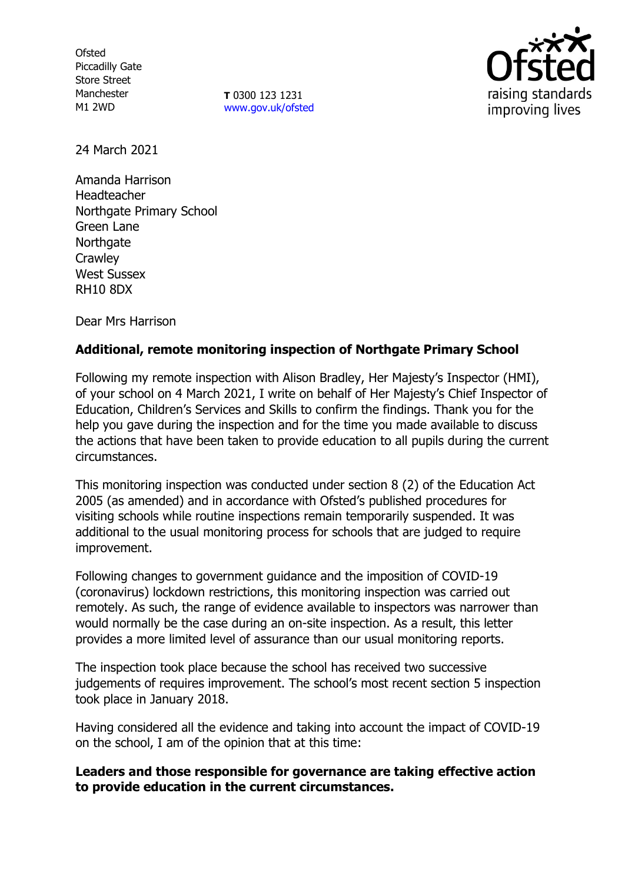**Ofsted** Piccadilly Gate Store Street Manchester M1 2WD

**T** 0300 123 1231 [www.gov.uk/ofsted](http://www.gov.uk/ofsted)



24 March 2021

Amanda Harrison Headteacher Northgate Primary School Green Lane **Northgate Crawley** West Sussex RH10 8DX

Dear Mrs Harrison

# **Additional, remote monitoring inspection of Northgate Primary School**

Following my remote inspection with Alison Bradley, Her Majesty's Inspector (HMI), of your school on 4 March 2021, I write on behalf of Her Majesty's Chief Inspector of Education, Children's Services and Skills to confirm the findings. Thank you for the help you gave during the inspection and for the time you made available to discuss the actions that have been taken to provide education to all pupils during the current circumstances.

This monitoring inspection was conducted under section 8 (2) of the Education Act 2005 (as amended) and in accordance with Ofsted's published procedures for visiting schools while routine inspections remain temporarily suspended. It was additional to the usual monitoring process for schools that are judged to require improvement.

Following changes to government guidance and the imposition of COVID-19 (coronavirus) lockdown restrictions, this monitoring inspection was carried out remotely. As such, the range of evidence available to inspectors was narrower than would normally be the case during an on-site inspection. As a result, this letter provides a more limited level of assurance than our usual monitoring reports.

The inspection took place because the school has received two successive judgements of requires improvement. The school's most recent section 5 inspection took place in January 2018.

Having considered all the evidence and taking into account the impact of COVID-19 on the school, I am of the opinion that at this time:

# **Leaders and those responsible for governance are taking effective action to provide education in the current circumstances.**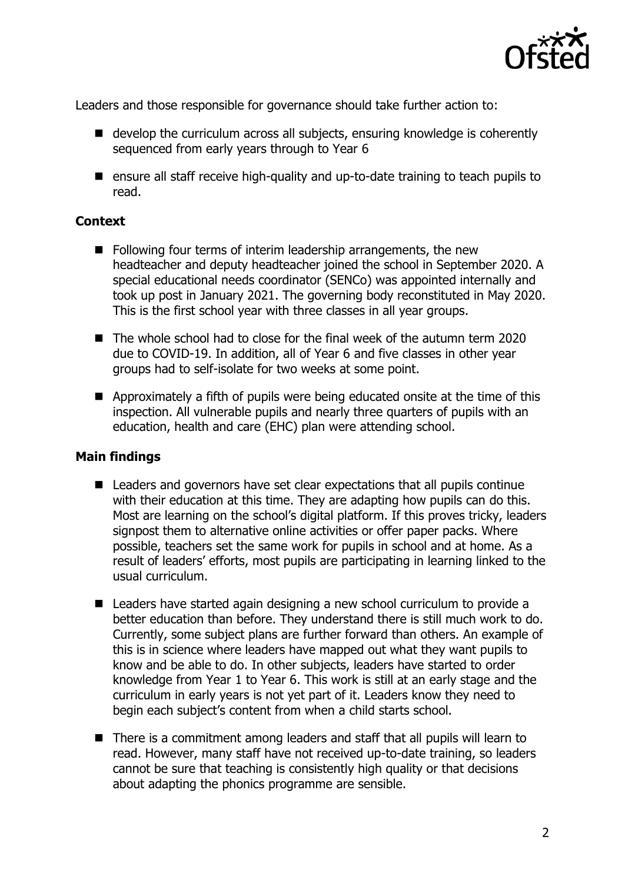

Leaders and those responsible for governance should take further action to:

- develop the curriculum across all subjects, ensuring knowledge is coherently sequenced from early years through to Year 6
- ensure all staff receive high-quality and up-to-date training to teach pupils to read.

#### **Context**

- Following four terms of interim leadership arrangements, the new headteacher and deputy headteacher joined the school in September 2020. A special educational needs coordinator (SENCo) was appointed internally and took up post in January 2021. The governing body reconstituted in May 2020. This is the first school year with three classes in all year groups.
- The whole school had to close for the final week of the autumn term 2020 due to COVID-19. In addition, all of Year 6 and five classes in other year groups had to self-isolate for two weeks at some point.
- Approximately a fifth of pupils were being educated onsite at the time of this inspection. All vulnerable pupils and nearly three quarters of pupils with an education, health and care (EHC) plan were attending school.

# **Main findings**

- Leaders and governors have set clear expectations that all pupils continue with their education at this time. They are adapting how pupils can do this. Most are learning on the school's digital platform. If this proves tricky, leaders signpost them to alternative online activities or offer paper packs. Where possible, teachers set the same work for pupils in school and at home. As a result of leaders' efforts, most pupils are participating in learning linked to the usual curriculum.
- Leaders have started again designing a new school curriculum to provide a better education than before. They understand there is still much work to do. Currently, some subject plans are further forward than others. An example of this is in science where leaders have mapped out what they want pupils to know and be able to do. In other subjects, leaders have started to order knowledge from Year 1 to Year 6. This work is still at an early stage and the curriculum in early years is not yet part of it. Leaders know they need to begin each subject's content from when a child starts school.
- There is a commitment among leaders and staff that all pupils will learn to read. However, many staff have not received up-to-date training, so leaders cannot be sure that teaching is consistently high quality or that decisions about adapting the phonics programme are sensible.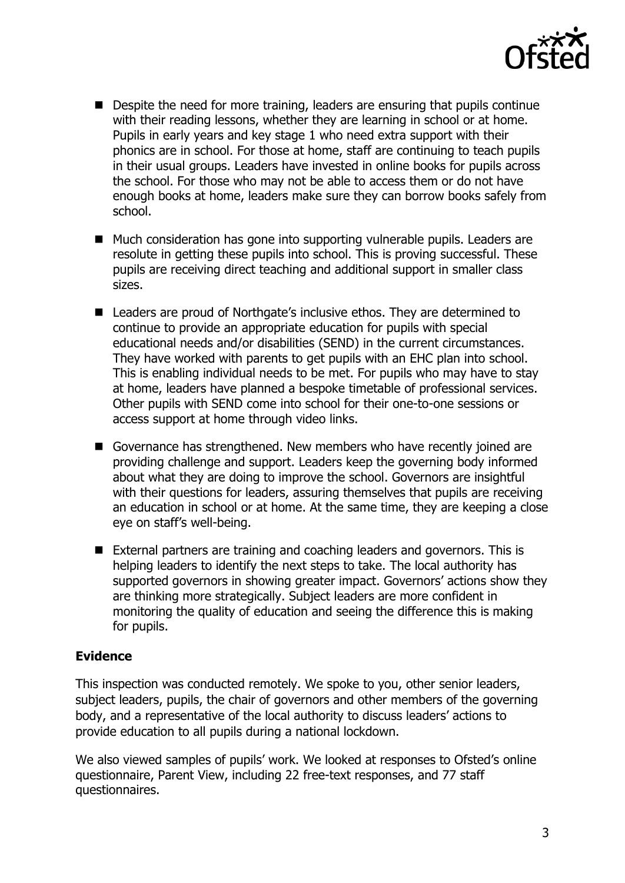

- Despite the need for more training, leaders are ensuring that pupils continue with their reading lessons, whether they are learning in school or at home. Pupils in early years and key stage 1 who need extra support with their phonics are in school. For those at home, staff are continuing to teach pupils in their usual groups. Leaders have invested in online books for pupils across the school. For those who may not be able to access them or do not have enough books at home, leaders make sure they can borrow books safely from school.
- Much consideration has gone into supporting vulnerable pupils. Leaders are resolute in getting these pupils into school. This is proving successful. These pupils are receiving direct teaching and additional support in smaller class sizes.
- Leaders are proud of Northgate's inclusive ethos. They are determined to continue to provide an appropriate education for pupils with special educational needs and/or disabilities (SEND) in the current circumstances. They have worked with parents to get pupils with an EHC plan into school. This is enabling individual needs to be met. For pupils who may have to stay at home, leaders have planned a bespoke timetable of professional services. Other pupils with SEND come into school for their one-to-one sessions or access support at home through video links.
- Governance has strengthened. New members who have recently joined are providing challenge and support. Leaders keep the governing body informed about what they are doing to improve the school. Governors are insightful with their questions for leaders, assuring themselves that pupils are receiving an education in school or at home. At the same time, they are keeping a close eye on staff's well-being.
- External partners are training and coaching leaders and governors. This is helping leaders to identify the next steps to take. The local authority has supported governors in showing greater impact. Governors' actions show they are thinking more strategically. Subject leaders are more confident in monitoring the quality of education and seeing the difference this is making for pupils.

# **Evidence**

This inspection was conducted remotely. We spoke to you, other senior leaders, subject leaders, pupils, the chair of governors and other members of the governing body, and a representative of the local authority to discuss leaders' actions to provide education to all pupils during a national lockdown.

We also viewed samples of pupils' work. We looked at responses to Ofsted's online questionnaire, Parent View, including 22 free-text responses, and 77 staff questionnaires.